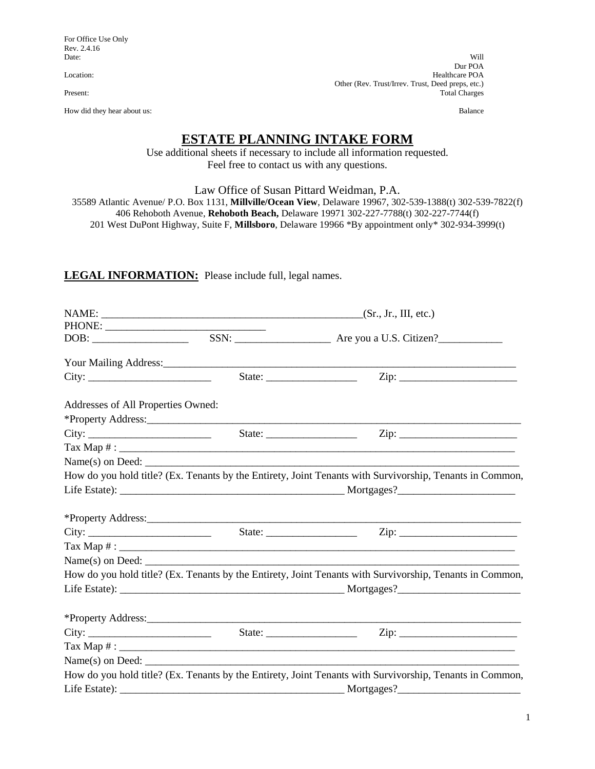For Office Use Only Rev. 2.4.16<br>Date:

How did they hear about us: Balance

Date: Will not a control of the control of the control of the control of the control of the control of the control of the control of the control of the control of the control of the control of the control of the control of Dur POA Location: Healthcare POA Other (Rev. Trust/Irrev. Trust, Deed preps, etc.)<br>Total Charges Total Charges

# **ESTATE PLANNING INTAKE FORM**

Use additional sheets if necessary to include all information requested. Feel free to contact us with any questions.

Law Office of Susan Pittard Weidman, P.A.

35589 Atlantic Avenue/ P.O. Box 1131, **Millville/Ocean View**, Delaware 19967, 302-539-1388(t) 302-539-7822(f) 406 Rehoboth Avenue, **Rehoboth Beach,** Delaware 19971 302-227-7788(t) 302-227-7744(f) 201 West DuPont Highway, Suite F, **Millsboro**, Delaware 19966 \*By appointment only\* 302-934-3999(t)

## **LEGAL INFORMATION:** Please include full, legal names.

| Addresses of All Properties Owned: |                    |                                                                                                          |
|------------------------------------|--------------------|----------------------------------------------------------------------------------------------------------|
|                                    |                    |                                                                                                          |
| City:                              |                    |                                                                                                          |
|                                    |                    |                                                                                                          |
|                                    |                    | $Name(s)$ on Deed:                                                                                       |
|                                    |                    | How do you hold title? (Ex. Tenants by the Entirety, Joint Tenants with Survivorship, Tenants in Common, |
|                                    |                    |                                                                                                          |
|                                    |                    |                                                                                                          |
|                                    |                    |                                                                                                          |
|                                    |                    |                                                                                                          |
|                                    |                    |                                                                                                          |
|                                    |                    | How do you hold title? (Ex. Tenants by the Entirety, Joint Tenants with Survivorship, Tenants in Common, |
|                                    |                    |                                                                                                          |
|                                    |                    | *Property Address:                                                                                       |
|                                    |                    |                                                                                                          |
|                                    |                    |                                                                                                          |
|                                    | $Name(s)$ on Deed: |                                                                                                          |
|                                    |                    | How do you hold title? (Ex. Tenants by the Entirety, Joint Tenants with Survivorship, Tenants in Common, |
|                                    |                    |                                                                                                          |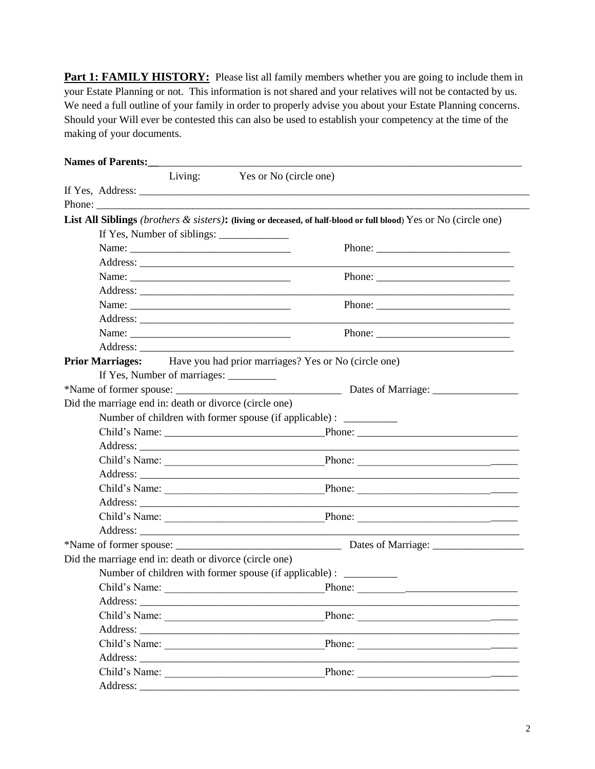**Part 1: FAMILY HISTORY:** Please list all family members whether you are going to include them in your Estate Planning or not. This information is not shared and your relatives will not be contacted by us. We need a full outline of your family in order to properly advise you about your Estate Planning concerns. Should your Will ever be contested this can also be used to establish your competency at the time of the making of your documents.

| Names of Parents:                                      |                                                                                                                                                                                                                                                                                                                                                                                                                               |
|--------------------------------------------------------|-------------------------------------------------------------------------------------------------------------------------------------------------------------------------------------------------------------------------------------------------------------------------------------------------------------------------------------------------------------------------------------------------------------------------------|
|                                                        | Living: Yes or No (circle one)                                                                                                                                                                                                                                                                                                                                                                                                |
|                                                        |                                                                                                                                                                                                                                                                                                                                                                                                                               |
|                                                        |                                                                                                                                                                                                                                                                                                                                                                                                                               |
|                                                        | List All Siblings (brothers & sisters): (living or deceased, of half-blood or full blood) Yes or No (circle one)                                                                                                                                                                                                                                                                                                              |
|                                                        | If Yes, Number of siblings:                                                                                                                                                                                                                                                                                                                                                                                                   |
|                                                        | Phone:                                                                                                                                                                                                                                                                                                                                                                                                                        |
|                                                        |                                                                                                                                                                                                                                                                                                                                                                                                                               |
|                                                        |                                                                                                                                                                                                                                                                                                                                                                                                                               |
|                                                        |                                                                                                                                                                                                                                                                                                                                                                                                                               |
|                                                        | Phone: $\frac{1}{\sqrt{1-\frac{1}{2}}\sqrt{1-\frac{1}{2}}\sqrt{1-\frac{1}{2}}\sqrt{1-\frac{1}{2}}\sqrt{1-\frac{1}{2}}\sqrt{1-\frac{1}{2}}\sqrt{1-\frac{1}{2}}\sqrt{1-\frac{1}{2}}\sqrt{1-\frac{1}{2}}\sqrt{1-\frac{1}{2}}\sqrt{1-\frac{1}{2}}\sqrt{1-\frac{1}{2}}\sqrt{1-\frac{1}{2}}\sqrt{1-\frac{1}{2}}\sqrt{1-\frac{1}{2}}\sqrt{1-\frac{1}{2}}\sqrt{1-\frac{1}{2}}\sqrt{1-\frac{1}{2}}\sqrt{1-\frac{1}{2$                  |
|                                                        |                                                                                                                                                                                                                                                                                                                                                                                                                               |
|                                                        | Phone: $\frac{1}{\sqrt{1-\frac{1}{2}}\sqrt{1-\frac{1}{2}}\sqrt{1-\frac{1}{2}}\sqrt{1-\frac{1}{2}}\sqrt{1-\frac{1}{2}}\sqrt{1-\frac{1}{2}}\sqrt{1-\frac{1}{2}}\sqrt{1-\frac{1}{2}}\sqrt{1-\frac{1}{2}}\sqrt{1-\frac{1}{2}}\sqrt{1-\frac{1}{2}}\sqrt{1-\frac{1}{2}}\sqrt{1-\frac{1}{2}}\sqrt{1-\frac{1}{2}}\sqrt{1-\frac{1}{2}}\sqrt{1-\frac{1}{2}}\sqrt{1-\frac{1}{2}}\sqrt{1-\frac{1}{2}}\sqrt{1-\frac{1}{2$                  |
|                                                        |                                                                                                                                                                                                                                                                                                                                                                                                                               |
|                                                        | Prior Marriages: Have you had prior marriages? Yes or No (circle one)                                                                                                                                                                                                                                                                                                                                                         |
| If Yes, Number of marriages: __________                |                                                                                                                                                                                                                                                                                                                                                                                                                               |
|                                                        |                                                                                                                                                                                                                                                                                                                                                                                                                               |
| Did the marriage end in: death or divorce (circle one) |                                                                                                                                                                                                                                                                                                                                                                                                                               |
|                                                        | Number of children with former spouse (if applicable) : __________                                                                                                                                                                                                                                                                                                                                                            |
|                                                        |                                                                                                                                                                                                                                                                                                                                                                                                                               |
|                                                        |                                                                                                                                                                                                                                                                                                                                                                                                                               |
|                                                        |                                                                                                                                                                                                                                                                                                                                                                                                                               |
|                                                        |                                                                                                                                                                                                                                                                                                                                                                                                                               |
|                                                        |                                                                                                                                                                                                                                                                                                                                                                                                                               |
|                                                        |                                                                                                                                                                                                                                                                                                                                                                                                                               |
|                                                        |                                                                                                                                                                                                                                                                                                                                                                                                                               |
|                                                        |                                                                                                                                                                                                                                                                                                                                                                                                                               |
|                                                        |                                                                                                                                                                                                                                                                                                                                                                                                                               |
| Did the marriage end in: death or divorce (circle one) |                                                                                                                                                                                                                                                                                                                                                                                                                               |
|                                                        | Number of children with former spouse (if applicable) : ___________                                                                                                                                                                                                                                                                                                                                                           |
| Child's Name:                                          | <b>Example 2</b> Phone:                                                                                                                                                                                                                                                                                                                                                                                                       |
|                                                        |                                                                                                                                                                                                                                                                                                                                                                                                                               |
|                                                        | $\frac{1}{2}$ Phone:<br>Child's Name:                                                                                                                                                                                                                                                                                                                                                                                         |
|                                                        |                                                                                                                                                                                                                                                                                                                                                                                                                               |
|                                                        | Child's Name:<br>Phone: $\frac{1}{\sqrt{1-\frac{1}{2}}\sqrt{1-\frac{1}{2}}\sqrt{1-\frac{1}{2}}\sqrt{1-\frac{1}{2}}\sqrt{1-\frac{1}{2}}\sqrt{1-\frac{1}{2}}\sqrt{1-\frac{1}{2}}\sqrt{1-\frac{1}{2}}\sqrt{1-\frac{1}{2}}\sqrt{1-\frac{1}{2}}\sqrt{1-\frac{1}{2}}\sqrt{1-\frac{1}{2}}\sqrt{1-\frac{1}{2}}\sqrt{1-\frac{1}{2}}\sqrt{1-\frac{1}{2}}\sqrt{1-\frac{1}{2}}\sqrt{1-\frac{1}{2}}\sqrt{1-\frac{1}{2}}\sqrt{1-\frac{1}{2$ |
|                                                        |                                                                                                                                                                                                                                                                                                                                                                                                                               |
|                                                        | Child's Name:<br>Phone:                                                                                                                                                                                                                                                                                                                                                                                                       |
|                                                        |                                                                                                                                                                                                                                                                                                                                                                                                                               |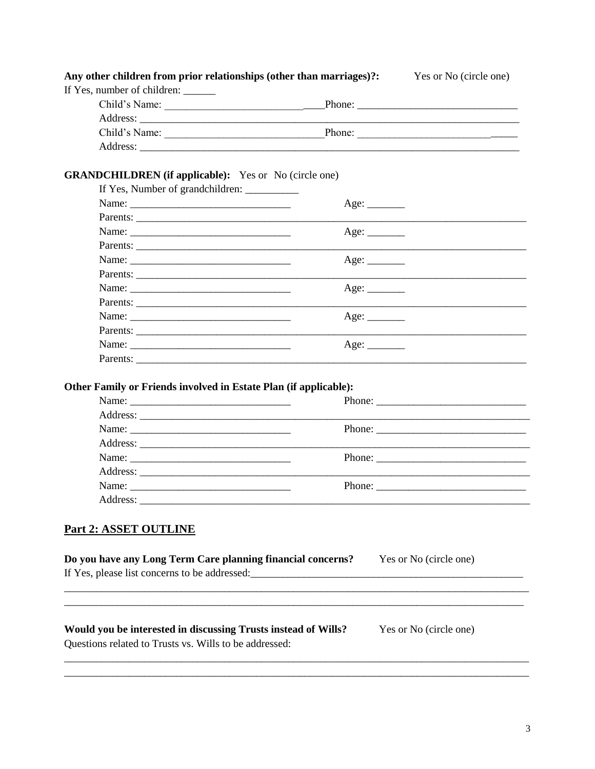| If Yes, number of children: ______<br>Child's Name:              |                                      |                                                                                                                                                                                                                                                                                                                                                                                                              |
|------------------------------------------------------------------|--------------------------------------|--------------------------------------------------------------------------------------------------------------------------------------------------------------------------------------------------------------------------------------------------------------------------------------------------------------------------------------------------------------------------------------------------------------|
|                                                                  |                                      |                                                                                                                                                                                                                                                                                                                                                                                                              |
|                                                                  |                                      |                                                                                                                                                                                                                                                                                                                                                                                                              |
|                                                                  |                                      |                                                                                                                                                                                                                                                                                                                                                                                                              |
| Child's Name:                                                    |                                      |                                                                                                                                                                                                                                                                                                                                                                                                              |
|                                                                  |                                      |                                                                                                                                                                                                                                                                                                                                                                                                              |
|                                                                  |                                      |                                                                                                                                                                                                                                                                                                                                                                                                              |
| <b>GRANDCHILDREN</b> (if applicable): Yes or No (circle one)     |                                      |                                                                                                                                                                                                                                                                                                                                                                                                              |
|                                                                  |                                      |                                                                                                                                                                                                                                                                                                                                                                                                              |
|                                                                  | Age: $\_\_\_\_\_\_\_\_\_\_\_\_\_\_\$ |                                                                                                                                                                                                                                                                                                                                                                                                              |
|                                                                  |                                      |                                                                                                                                                                                                                                                                                                                                                                                                              |
|                                                                  | Age:                                 |                                                                                                                                                                                                                                                                                                                                                                                                              |
|                                                                  |                                      |                                                                                                                                                                                                                                                                                                                                                                                                              |
| Name:                                                            |                                      |                                                                                                                                                                                                                                                                                                                                                                                                              |
|                                                                  |                                      |                                                                                                                                                                                                                                                                                                                                                                                                              |
|                                                                  | Age:                                 |                                                                                                                                                                                                                                                                                                                                                                                                              |
|                                                                  |                                      |                                                                                                                                                                                                                                                                                                                                                                                                              |
|                                                                  | Age:                                 |                                                                                                                                                                                                                                                                                                                                                                                                              |
|                                                                  |                                      |                                                                                                                                                                                                                                                                                                                                                                                                              |
|                                                                  |                                      |                                                                                                                                                                                                                                                                                                                                                                                                              |
| Parents:                                                         |                                      |                                                                                                                                                                                                                                                                                                                                                                                                              |
| Other Family or Friends involved in Estate Plan (if applicable): |                                      |                                                                                                                                                                                                                                                                                                                                                                                                              |
|                                                                  |                                      | Phone: $\frac{1}{\sqrt{1-\frac{1}{2}}\sqrt{1-\frac{1}{2}}\sqrt{1-\frac{1}{2}}\sqrt{1-\frac{1}{2}}\sqrt{1-\frac{1}{2}}\sqrt{1-\frac{1}{2}}\sqrt{1-\frac{1}{2}}\sqrt{1-\frac{1}{2}}\sqrt{1-\frac{1}{2}}\sqrt{1-\frac{1}{2}}\sqrt{1-\frac{1}{2}}\sqrt{1-\frac{1}{2}}\sqrt{1-\frac{1}{2}}\sqrt{1-\frac{1}{2}}\sqrt{1-\frac{1}{2}}\sqrt{1-\frac{1}{2}}\sqrt{1-\frac{1}{2}}\sqrt{1-\frac{1}{2}}\sqrt{1-\frac{1}{2$ |
|                                                                  |                                      |                                                                                                                                                                                                                                                                                                                                                                                                              |
|                                                                  |                                      |                                                                                                                                                                                                                                                                                                                                                                                                              |
|                                                                  |                                      |                                                                                                                                                                                                                                                                                                                                                                                                              |
|                                                                  |                                      | Phone: $\frac{1}{\sqrt{1-\frac{1}{2}}\sqrt{1-\frac{1}{2}}\sqrt{1-\frac{1}{2}}\sqrt{1-\frac{1}{2}}\sqrt{1-\frac{1}{2}}\sqrt{1-\frac{1}{2}}\sqrt{1-\frac{1}{2}}\sqrt{1-\frac{1}{2}}\sqrt{1-\frac{1}{2}}\sqrt{1-\frac{1}{2}}\sqrt{1-\frac{1}{2}}\sqrt{1-\frac{1}{2}}\sqrt{1-\frac{1}{2}}\sqrt{1-\frac{1}{2}}\sqrt{1-\frac{1}{2}}\sqrt{1-\frac{1}{2}}\sqrt{1-\frac{1}{2}}\sqrt{1-\frac{1}{2}}\sqrt{1-\frac{1}{2$ |
|                                                                  |                                      |                                                                                                                                                                                                                                                                                                                                                                                                              |
| Name:                                                            |                                      |                                                                                                                                                                                                                                                                                                                                                                                                              |
| Address:                                                         |                                      |                                                                                                                                                                                                                                                                                                                                                                                                              |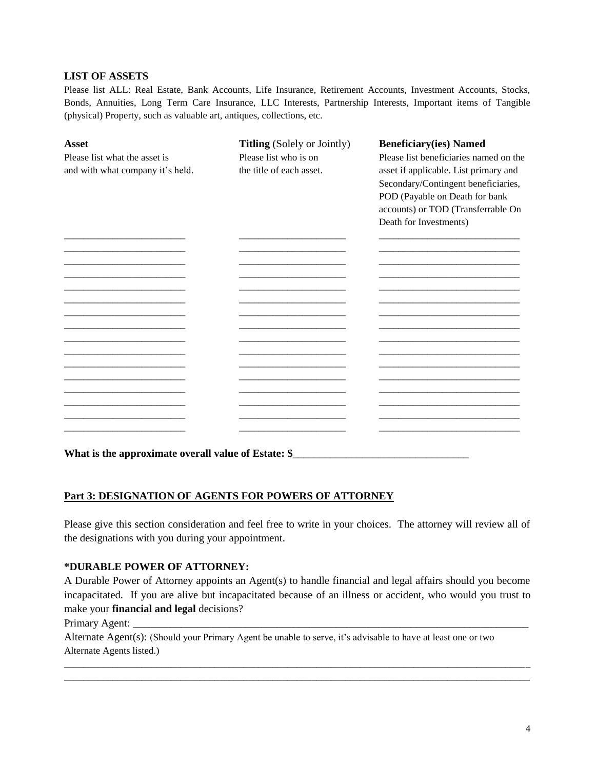#### **LIST OF ASSETS**

Please list ALL: Real Estate, Bank Accounts, Life Insurance, Retirement Accounts, Investment Accounts, Stocks, Bonds, Annuities, Long Term Care Insurance, LLC Interests, Partnership Interests, Important items of Tangible (physical) Property, such as valuable art, antiques, collections, etc.

| <b>Asset</b>                     | <b>Titling</b> (Solely or Jointly) | <b>Beneficiary(ies) Named</b>          |
|----------------------------------|------------------------------------|----------------------------------------|
| Please list what the asset is    | Please list who is on              | Please list beneficiaries named on the |
| and with what company it's held. | the title of each asset.           | asset if applicable. List primary and  |
|                                  |                                    | Secondary/Contingent beneficiaries,    |
|                                  |                                    | POD (Payable on Death for bank         |
|                                  |                                    | accounts) or TOD (Transferrable On     |
|                                  |                                    | Death for Investments)                 |
|                                  |                                    |                                        |
|                                  |                                    |                                        |
|                                  |                                    |                                        |
|                                  |                                    |                                        |
|                                  |                                    |                                        |
|                                  |                                    |                                        |
|                                  |                                    |                                        |
|                                  |                                    |                                        |
|                                  |                                    |                                        |
|                                  |                                    |                                        |
|                                  |                                    |                                        |
|                                  |                                    |                                        |
|                                  |                                    |                                        |
|                                  |                                    |                                        |

## What is the approximate overall value of Estate: \$\_\_\_\_\_\_\_\_\_\_\_\_\_\_\_\_\_\_\_\_\_\_\_\_\_\_\_\_\_\_\_

## **Part 3: DESIGNATION OF AGENTS FOR POWERS OF ATTORNEY**

Please give this section consideration and feel free to write in your choices. The attorney will review all of the designations with you during your appointment.

#### **\*DURABLE POWER OF ATTORNEY:**

A Durable Power of Attorney appoints an Agent(s) to handle financial and legal affairs should you become incapacitated. If you are alive but incapacitated because of an illness or accident, who would you trust to make your **financial and legal** decisions?

\_\_\_\_\_\_\_\_\_\_\_\_\_\_\_\_\_\_\_\_\_\_\_\_\_\_\_\_\_\_\_\_\_\_\_\_\_\_\_\_\_\_\_\_\_\_\_\_\_\_\_\_\_\_\_\_\_\_\_\_\_\_\_\_\_\_\_\_\_\_\_\_\_\_\_\_\_\_\_\_\_\_\_\_\_\_\_\_\_\_\_\_\_\_\_\_ \_\_\_\_\_\_\_\_\_\_\_\_\_\_\_\_\_\_\_\_\_\_\_\_\_\_\_\_\_\_\_\_\_\_\_\_\_\_\_\_\_\_\_\_\_\_\_\_\_\_\_\_\_\_\_\_\_\_\_\_\_\_\_\_\_\_\_\_\_\_\_\_\_\_\_\_\_\_\_\_\_\_\_\_\_\_\_\_\_\_\_\_\_\_\_\_

Primary Agent:

Alternate Agent(s): (Should your Primary Agent be unable to serve, it's advisable to have at least one or two Alternate Agents listed.)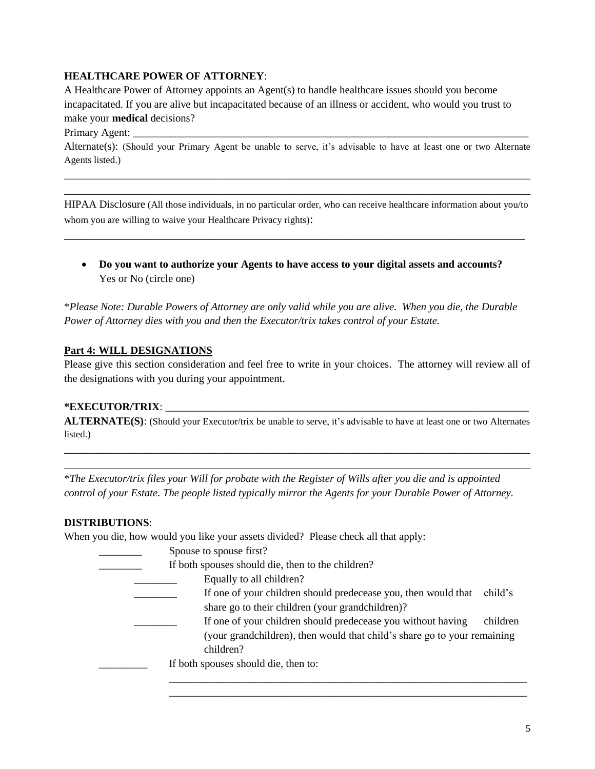## **HEALTHCARE POWER OF ATTORNEY**:

A Healthcare Power of Attorney appoints an Agent(s) to handle healthcare issues should you become incapacitated. If you are alive but incapacitated because of an illness or accident, who would you trust to make your **medical** decisions?

Primary Agent:

Alternate(s): (Should your Primary Agent be unable to serve, it's advisable to have at least one or two Alternate Agents listed.)

\_\_\_\_\_\_\_\_\_\_\_\_\_\_\_\_\_\_\_\_\_\_\_\_\_\_\_\_\_\_\_\_\_\_\_\_\_\_\_\_\_\_\_\_\_\_\_\_\_\_\_\_\_\_\_\_\_\_\_\_\_\_\_\_\_\_\_\_\_\_\_\_\_\_\_\_\_\_\_\_ \_\_\_\_\_\_\_\_\_\_\_\_\_\_\_\_\_\_\_\_\_\_\_\_\_\_\_\_\_\_\_\_\_\_\_\_\_\_\_\_\_\_\_\_\_\_\_\_\_\_\_\_\_\_\_\_\_\_\_\_\_\_\_\_\_\_\_\_\_\_\_\_\_\_\_\_\_\_\_\_

HIPAA Disclosure (All those individuals, in no particular order, who can receive healthcare information about you/to whom you are willing to waive your Healthcare Privacy rights):

\_\_\_\_\_\_\_\_\_\_\_\_\_\_\_\_\_\_\_\_\_\_\_\_\_\_\_\_\_\_\_\_\_\_\_\_\_\_\_\_\_\_\_\_\_\_\_\_\_\_\_\_\_\_\_\_\_\_\_\_\_\_\_\_\_\_\_\_\_\_\_\_\_\_\_\_\_\_\_

 **Do you want to authorize your Agents to have access to your digital assets and accounts?**  Yes or No (circle one)

\**Please Note: Durable Powers of Attorney are only valid while you are alive. When you die, the Durable Power of Attorney dies with you and then the Executor/trix takes control of your Estate.*

## **Part 4: WILL DESIGNATIONS**

Please give this section consideration and feel free to write in your choices. The attorney will review all of the designations with you during your appointment.

#### **\*EXECUTOR/TRIX**: \_\_\_\_\_\_\_\_\_\_\_\_\_\_\_\_\_\_\_\_\_\_\_\_\_\_\_\_\_\_\_\_\_\_\_\_\_\_\_\_\_\_\_\_\_\_\_\_\_\_\_\_\_\_\_\_\_\_\_\_\_\_\_\_\_\_\_\_

**ALTERNATE(S)**: (Should your Executor/trix be unable to serve, it's advisable to have at least one or two Alternates listed.)

\_\_\_\_\_\_\_\_\_\_\_\_\_\_\_\_\_\_\_\_\_\_\_\_\_\_\_\_\_\_\_\_\_\_\_\_\_\_\_\_\_\_\_\_\_\_\_\_\_\_\_\_\_\_\_\_\_\_\_\_\_\_\_\_\_\_\_\_\_\_\_\_\_\_\_\_\_\_\_\_ \_\_\_\_\_\_\_\_\_\_\_\_\_\_\_\_\_\_\_\_\_\_\_\_\_\_\_\_\_\_\_\_\_\_\_\_\_\_\_\_\_\_\_\_\_\_\_\_\_\_\_\_\_\_\_\_\_\_\_\_\_\_\_\_\_\_\_\_\_\_\_\_\_\_\_\_\_\_\_\_

\**The Executor/trix files your Will for probate with the Register of Wills after you die and is appointed control of your Estate. The people listed typically mirror the Agents for your Durable Power of Attorney.*

#### **DISTRIBUTIONS**:

When you die, how would you like your assets divided?Please check all that apply:

| Spouse to spouse first?                                                                                                                               |          |
|-------------------------------------------------------------------------------------------------------------------------------------------------------|----------|
| If both spouses should die, then to the children?                                                                                                     |          |
| Equally to all children?                                                                                                                              |          |
| If one of your children should predecease you, then would that<br>share go to their children (your grandchildren)?                                    | child's  |
| If one of your children should predecease you without having<br>(your grandchildren), then would that child's share go to your remaining<br>children? | children |
| If both spouses should die, then to:                                                                                                                  |          |

\_\_\_\_\_\_\_\_\_\_\_\_\_\_\_\_\_\_\_\_\_\_\_\_\_\_\_\_\_\_\_\_\_\_\_\_\_\_\_\_\_\_\_\_\_\_\_\_\_\_\_\_\_\_\_\_\_\_\_\_\_\_\_\_\_\_\_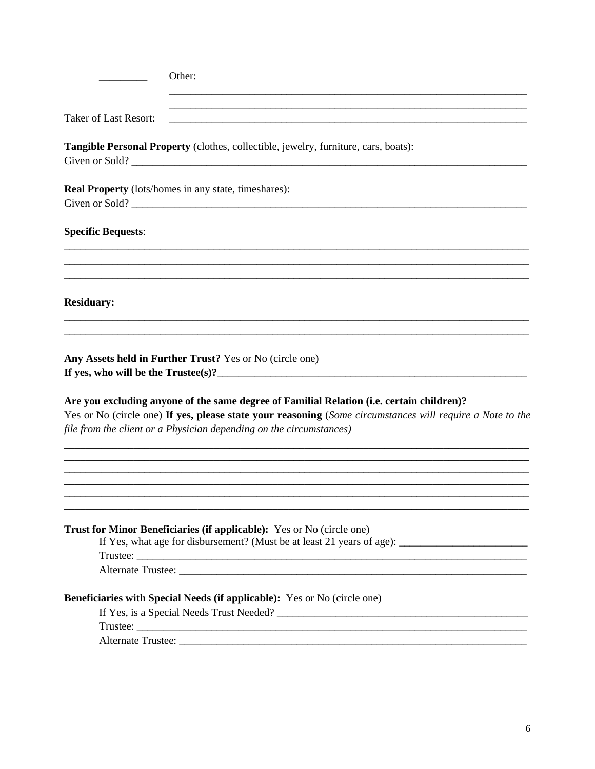| Other:                                                                                                                                                                           |
|----------------------------------------------------------------------------------------------------------------------------------------------------------------------------------|
| <u> 1989 - Johann Stoff, amerikansk politiker (d. 1989)</u>                                                                                                                      |
| <b>Taker of Last Resort:</b>                                                                                                                                                     |
| Tangible Personal Property (clothes, collectible, jewelry, furniture, cars, boats):                                                                                              |
| <b>Real Property</b> (lots/homes in any state, timeshares):                                                                                                                      |
| <b>Specific Bequests:</b>                                                                                                                                                        |
| <b>Residuary:</b>                                                                                                                                                                |
| Any Assets held in Further Trust? Yes or No (circle one)<br>Are you excluding anyone of the same degree of Familial Relation (i.e. certain children)?                            |
| Yes or No (circle one) If yes, please state your reasoning (Some circumstances will require a Note to the<br>file from the client or a Physician depending on the circumstances) |
|                                                                                                                                                                                  |
| Trust for Minor Beneficiaries (if applicable): Yes or No (circle one)<br>If Yes, what age for disbursement? (Must be at least 21 years of age):                                  |
|                                                                                                                                                                                  |
| <b>Beneficiaries with Special Needs (if applicable):</b> Yes or No (circle one)                                                                                                  |
|                                                                                                                                                                                  |